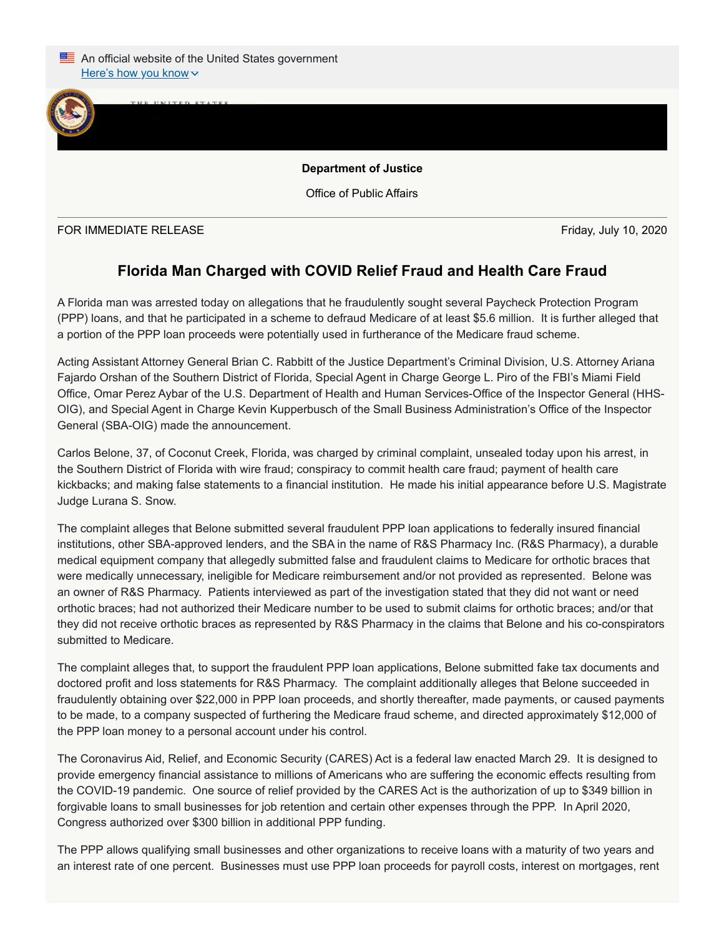

Office of Public Affairs

FOR IMMEDIATE RELEASE Friday, July 10, 2020

 $J_{\text{U}}$ 

## **Florida Man Charged with COVID Relief Fraud and Health Care Fraud**

A Florida man was arrested today on allegations that he fraudulently sought several Paycheck Protection Program (PPP) loans, and that he participated in a scheme to defraud Medicare of at least \$5.6 million. It is further alleged that a portion of the PPP loan proceeds were potentially used in furtherance of the Medicare fraud scheme.

Acting Assistant Attorney General Brian C. Rabbitt of the Justice Department's Criminal Division, U.S. Attorney Ariana Fajardo Orshan of the Southern District of Florida, Special Agent in Charge George L. Piro of the FBI's Miami Field Office, Omar Perez Aybar of the U.S. Department of Health and Human Services-Office of the Inspector General (HHS-OIG), and Special Agent in Charge Kevin Kupperbusch of the Small Business Administration's Office of the Inspector General (SBA-OIG) made the announcement.

Carlos Belone, 37, of Coconut Creek, Florida, was charged by criminal complaint, unsealed today upon his arrest, in the Southern District of Florida with wire fraud; conspiracy to commit health care fraud; payment of health care kickbacks; and making false statements to a financial institution. He made his initial appearance before U.S. Magistrate Judge Lurana S. Snow.

The complaint alleges that Belone submitted several fraudulent PPP loan applications to federally insured financial institutions, other SBA-approved lenders, and the SBA in the name of R&S Pharmacy Inc. (R&S Pharmacy), a durable medical equipment company that allegedly submitted false and fraudulent claims to Medicare for orthotic braces that were medically unnecessary, ineligible for Medicare reimbursement and/or not provided as represented. Belone was an owner of R&S Pharmacy. Patients interviewed as part of the investigation stated that they did not want or need orthotic braces; had not authorized their Medicare number to be used to submit claims for orthotic braces; and/or that they did not receive orthotic braces as represented by R&S Pharmacy in the claims that Belone and his co-conspirators submitted to Medicare.

The complaint alleges that, to support the fraudulent PPP loan applications, Belone submitted fake tax documents and doctored profit and loss statements for R&S Pharmacy. The complaint additionally alleges that Belone succeeded in fraudulently obtaining over \$22,000 in PPP loan proceeds, and shortly thereafter, made payments, or caused payments to be made, to a company suspected of furthering the Medicare fraud scheme, and directed approximately \$12,000 of the PPP loan money to a personal account under his control.

The Coronavirus Aid, Relief, and Economic Security (CARES) Act is a federal law enacted March 29. It is designed to provide emergency financial assistance to millions of Americans who are suffering the economic effects resulting from the COVID-19 pandemic. One source of relief provided by the CARES Act is the authorization of up to \$349 billion in forgivable loans to small businesses for job retention and certain other expenses through the PPP. In April 2020, Congress authorized over \$300 billion in additional PPP funding.

The PPP allows qualifying small businesses and other organizations to receive loans with a maturity of two years and an interest rate of one percent. Businesses must use PPP loan proceeds for payroll costs, interest on mortgages, rent